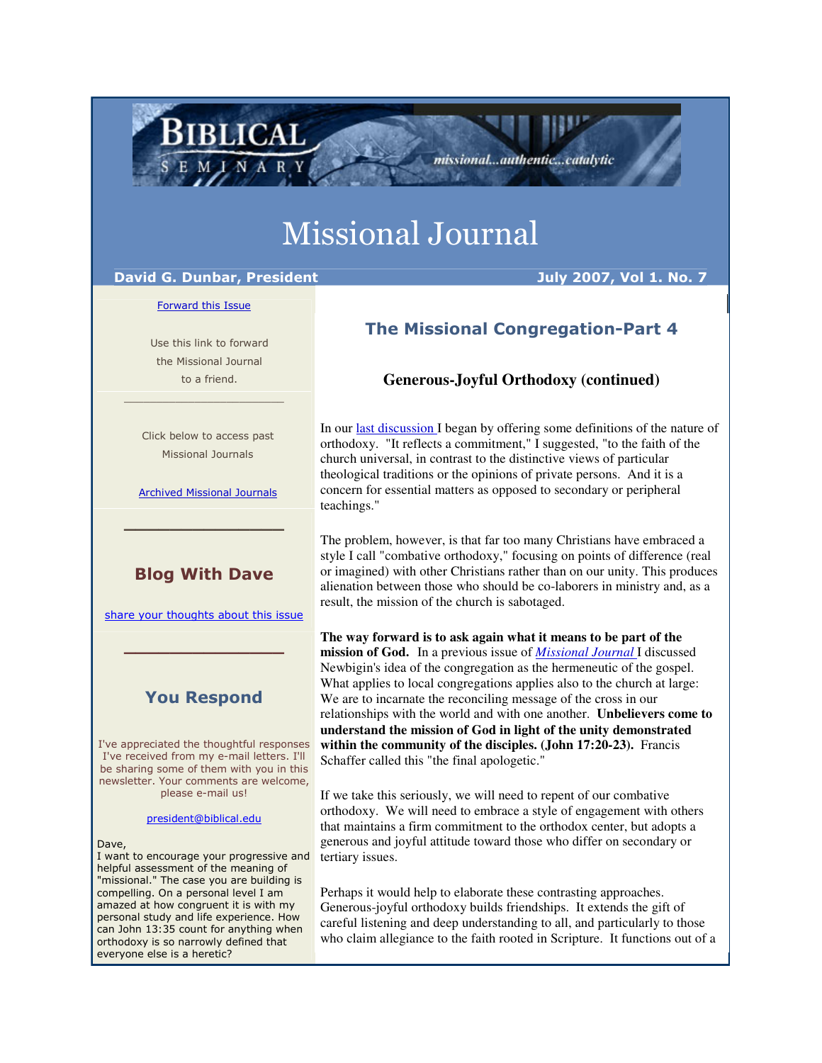# Missional Journal

# David G. Dunbar, President Andreas Andreas Auly 2007, Vol 1. No. 7

BIBLICAL

#### Forward this Issue

 Use this link to forward the Missional Journal to a friend.

 Click below to access past Missional Journals

\_\_\_\_\_\_\_\_\_\_\_\_\_\_\_\_\_\_\_\_\_\_\_\_\_

Archived Missional Journals

\_\_\_\_\_\_\_\_\_\_\_\_\_\_

# Blog With Dave

share your thoughts about this issue

 $\_$   $\_$   $\_$   $\_$   $\_$   $\_$   $\_$   $\_$   $\_$   $\_$ 

# You Respond

I've appreciated the thoughtful responses I've received from my e-mail letters. I'll be sharing some of them with you in this newsletter. Your comments are welcome, please e-mail us!

president@biblical.edu

Dave,

I want to encourage your progressive and helpful assessment of the meaning of "missional." The case you are building is compelling. On a personal level I am amazed at how congruent it is with my personal study and life experience. How can John 13:35 count for anything when orthodoxy is so narrowly defined that everyone else is a heretic?

# The Missional Congregation-Part 4

missional...authentic...catalytic

# **Generous-Joyful Orthodoxy (continued)**

In our last discussion I began by offering some definitions of the nature of orthodoxy. "It reflects a commitment," I suggested, "to the faith of the church universal, in contrast to the distinctive views of particular theological traditions or the opinions of private persons. And it is a concern for essential matters as opposed to secondary or peripheral teachings."

The problem, however, is that far too many Christians have embraced a style I call "combative orthodoxy," focusing on points of difference (real or imagined) with other Christians rather than on our unity. This produces alienation between those who should be co-laborers in ministry and, as a result, the mission of the church is sabotaged.

**The way forward is to ask again what it means to be part of the mission of God.** In a previous issue of *Missional Journal* I discussed Newbigin's idea of the congregation as the hermeneutic of the gospel. What applies to local congregations applies also to the church at large: We are to incarnate the reconciling message of the cross in our relationships with the world and with one another. **Unbelievers come to understand the mission of God in light of the unity demonstrated within the community of the disciples. (John 17:20-23).** Francis Schaffer called this "the final apologetic."

If we take this seriously, we will need to repent of our combative orthodoxy. We will need to embrace a style of engagement with others that maintains a firm commitment to the orthodox center, but adopts a generous and joyful attitude toward those who differ on secondary or tertiary issues.

Perhaps it would help to elaborate these contrasting approaches. Generous-joyful orthodoxy builds friendships. It extends the gift of careful listening and deep understanding to all, and particularly to those who claim allegiance to the faith rooted in Scripture. It functions out of a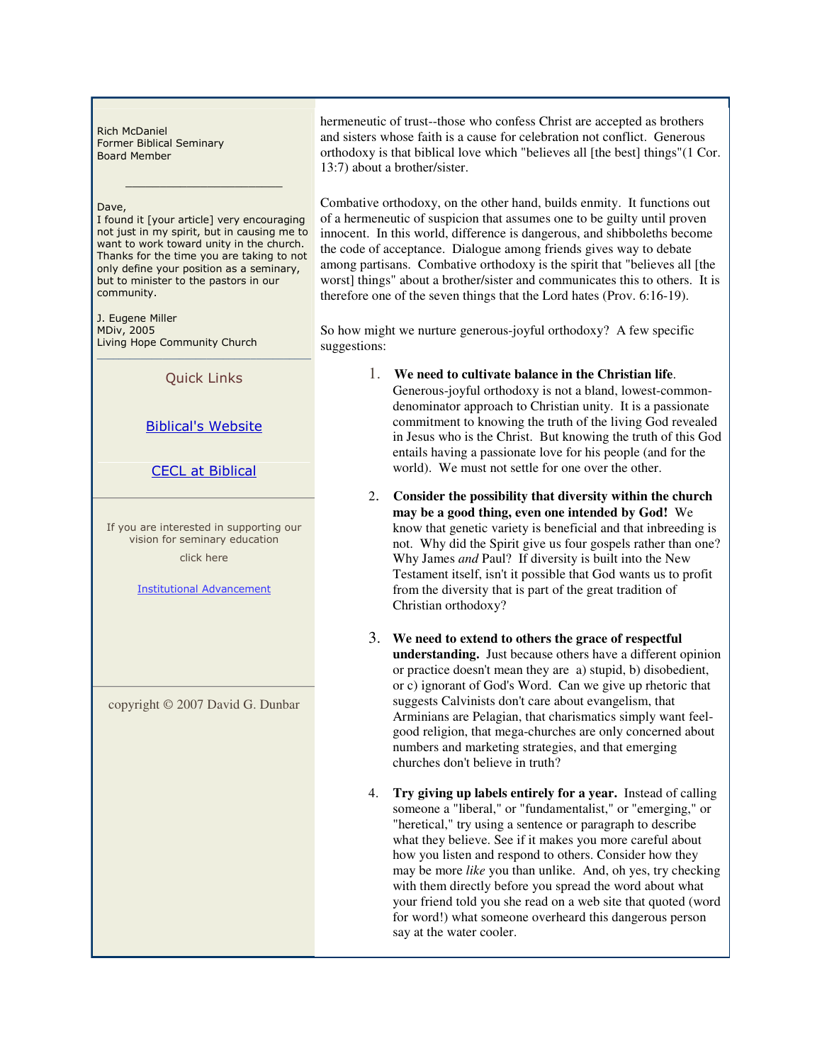Rich McDaniel Former Biblical Seminary Board Member

#### Dave,

I found it [your article] very encouraging not just in my spirit, but in causing me to want to work toward unity in the church. Thanks for the time you are taking to not only define your position as a seminary, but to minister to the pastors in our community.

\_\_\_\_\_\_\_\_\_\_\_\_\_\_\_\_\_\_\_\_\_\_\_

J. Eugene Miller MDiv, 2005 Living Hope Community Church

 $\mathcal{L}_\mathcal{L}$  , where  $\mathcal{L}_\mathcal{L}$  is the set of the set of the set of the set of the set of the set of the set of the set of the set of the set of the set of the set of the set of the set of the set of the set of the Quick Links

## Biblical's Website

## CECL at Biblical

If you are interested in supporting our vision for seminary education click here

Institutional Advancement

copyright © 2007 David G. Dunbar

hermeneutic of trust--those who confess Christ are accepted as brothers and sisters whose faith is a cause for celebration not conflict. Generous orthodoxy is that biblical love which "believes all [the best] things"(1 Cor. 13:7) about a brother/sister.

Combative orthodoxy, on the other hand, builds enmity. It functions out of a hermeneutic of suspicion that assumes one to be guilty until proven innocent. In this world, difference is dangerous, and shibboleths become the code of acceptance. Dialogue among friends gives way to debate among partisans. Combative orthodoxy is the spirit that "believes all [the worst] things" about a brother/sister and communicates this to others. It is therefore one of the seven things that the Lord hates (Prov. 6:16-19).

So how might we nurture generous-joyful orthodoxy? A few specific suggestions:

- 1. **We need to cultivate balance in the Christian life**. Generous-joyful orthodoxy is not a bland, lowest-commondenominator approach to Christian unity. It is a passionate commitment to knowing the truth of the living God revealed in Jesus who is the Christ. But knowing the truth of this God entails having a passionate love for his people (and for the world). We must not settle for one over the other.
- 2. **Consider the possibility that diversity within the church may be a good thing, even one intended by God!** We know that genetic variety is beneficial and that inbreeding is not. Why did the Spirit give us four gospels rather than one? Why James *and* Paul? If diversity is built into the New Testament itself, isn't it possible that God wants us to profit from the diversity that is part of the great tradition of Christian orthodoxy?
- 3. **We need to extend to others the grace of respectful understanding.** Just because others have a different opinion or practice doesn't mean they are a) stupid, b) disobedient, or c) ignorant of God's Word. Can we give up rhetoric that suggests Calvinists don't care about evangelism, that Arminians are Pelagian, that charismatics simply want feelgood religion, that mega-churches are only concerned about numbers and marketing strategies, and that emerging churches don't believe in truth?
- 4. **Try giving up labels entirely for a year.** Instead of calling someone a "liberal," or "fundamentalist," or "emerging," or "heretical," try using a sentence or paragraph to describe what they believe. See if it makes you more careful about how you listen and respond to others. Consider how they may be more *like* you than unlike. And, oh yes, try checking with them directly before you spread the word about what your friend told you she read on a web site that quoted (word for word!) what someone overheard this dangerous person say at the water cooler.